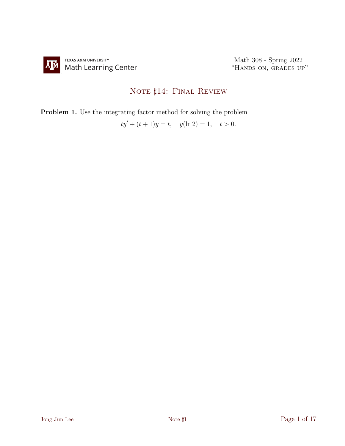## NOTE  $\sharp 14$ : FINAL REVIEW

Problem 1. Use the integrating factor method for solving the problem

 $ty' + (t + 1)y = t$ ,  $y(\ln 2) = 1$ ,  $t > 0$ .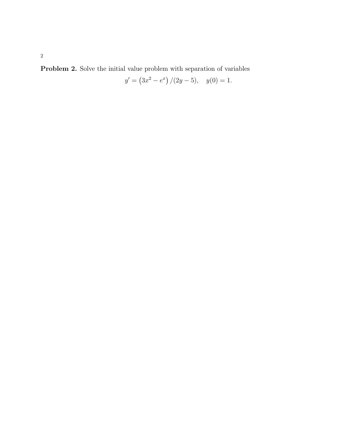Problem 2. Solve the initial value problem with separation of variables

$$
y' = (3x^2 - e^x) / (2y - 5), \quad y(0) = 1.
$$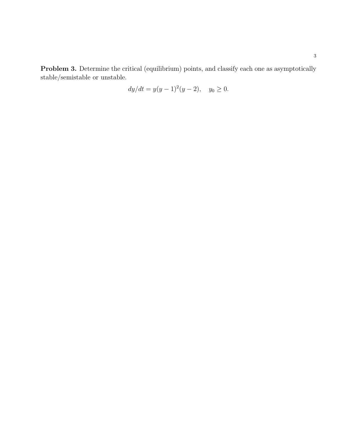Problem 3. Determine the critical (equilibrium) points, and classify each one as asymptotically stable/semistable or unstable.

$$
dy/dt = y(y-1)^2(y-2), \quad y_0 \ge 0.
$$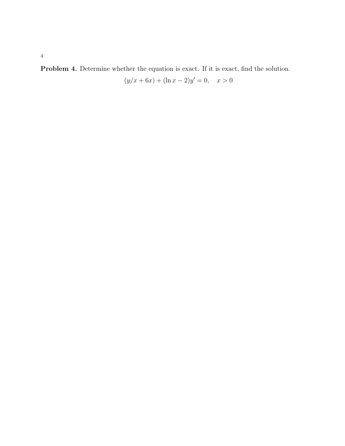Problem 4. Determine whether the equation is exact. If it is exact, find the solution.

$$
(y/x + 6x) + (\ln x - 2)y' = 0, \quad x > 0
$$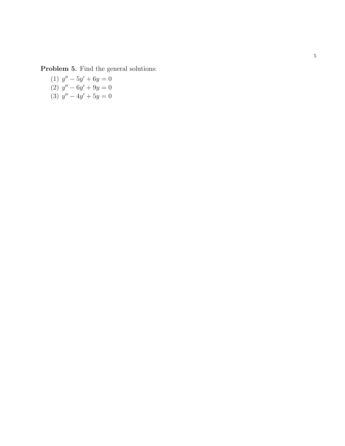Problem 5. Find the general solutions:

(1) 
$$
y'' - 5y' + 6y = 0
$$
  
\n(2)  $y'' - 6y' + 9y = 0$   
\n(3)  $y'' - 4y' + 5y = 0$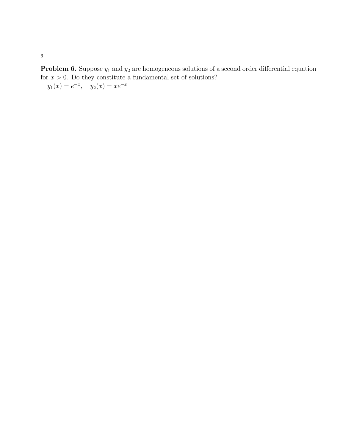**Problem 6.** Suppose  $y_1$  and  $y_2$  are homogeneous solutions of a second order differential equation for  $x > 0$ . Do they constitute a fundamental set of solutions?

 $y_1(x) = e^{-x}, \quad y_2(x) = xe^{-x}$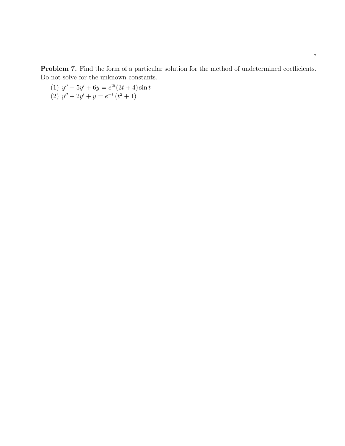Problem 7. Find the form of a particular solution for the method of undetermined coefficients. Do not solve for the unknown constants.

- (1)  $y'' 5y' + 6y = e^{2t}(3t + 4) \sin t$
- (2)  $y'' + 2y' + y = e^{-t} (t^2 + 1)$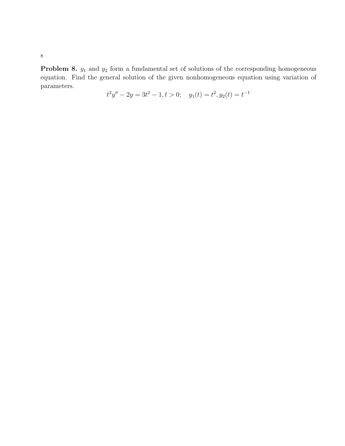**Problem 8.**  $y_1$  and  $y_2$  form a fundamental set of solutions of the corresponding homogeneous equation. Find the general solution of the given nonhomogeneous equation using variation of parameters.

$$
t2y'' - 2y = 3t2 - 1, t > 0; \quad y1(t) = t2, y2(t) = t-1
$$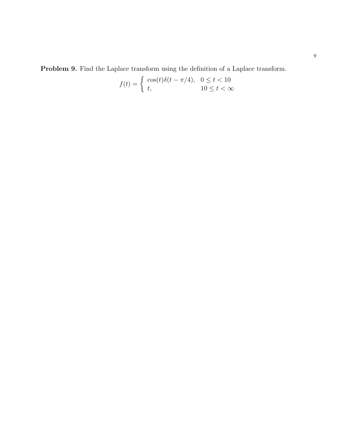Problem 9. Find the Laplace transform using the definition of a Laplace transform.

$$
f(t) = \begin{cases} \cos(t)\delta(t - \pi/4), & 0 \le t < 10\\ t, & 10 \le t < \infty \end{cases}
$$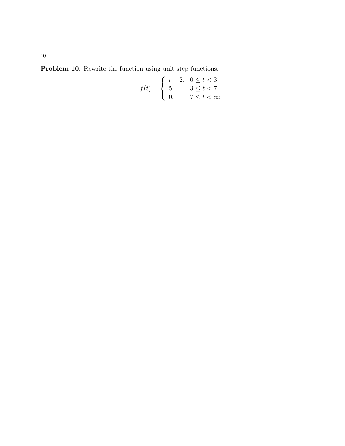Problem 10. Rewrite the function using unit step functions.

$$
f(t) = \begin{cases} t - 2, & 0 \le t < 3 \\ 5, & 3 \le t < 7 \\ 0, & 7 \le t < \infty \end{cases}
$$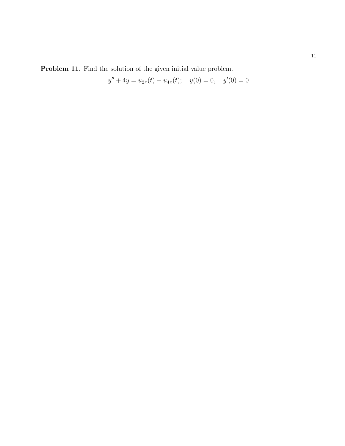Problem 11. Find the solution of the given initial value problem.

$$
y'' + 4y = u_{2\pi}(t) - u_{4\pi}(t); \quad y(0) = 0, \quad y'(0) = 0
$$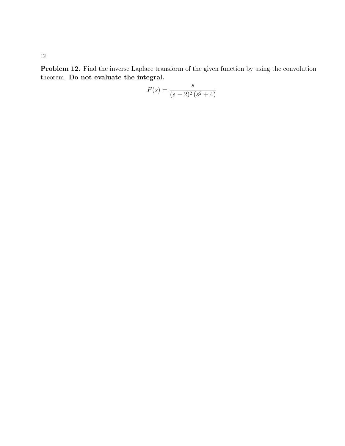Problem 12. Find the inverse Laplace transform of the given function by using the convolution theorem. Do not evaluate the integral.

$$
F(s) = \frac{s}{(s-2)^2 (s^2+4)}
$$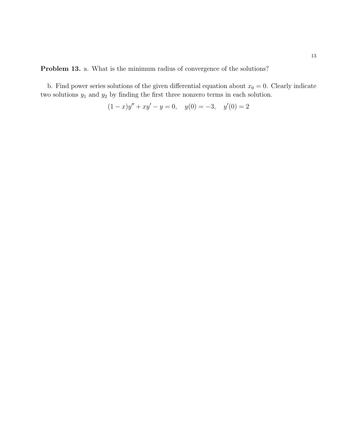Problem 13. a. What is the minimum radius of convergence of the solutions?

b. Find power series solutions of the given differential equation about  $x_0 = 0$ . Clearly indicate two solutions  $y_1$  and  $y_2$  by finding the first three nonzero terms in each solution.

$$
(1-x)y'' + xy' - y = 0, \quad y(0) = -3, \quad y'(0) = 2
$$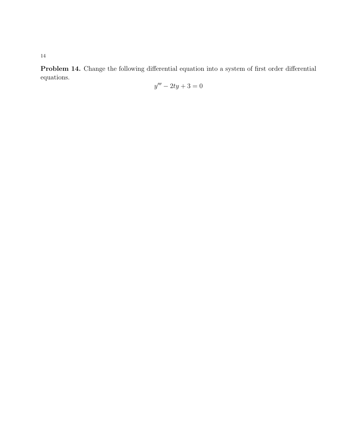Problem 14. Change the following differential equation into a system of first order differential equations.

$$
y''' - 2ty + 3 = 0
$$

14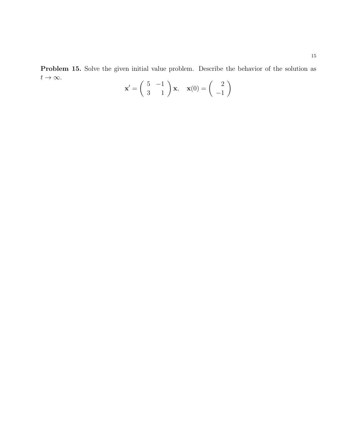Problem 15. Solve the given initial value problem. Describe the behavior of the solution as  $t\to\infty$ .

$$
\mathbf{x}' = \begin{pmatrix} 5 & -1 \\ 3 & 1 \end{pmatrix} \mathbf{x}, \quad \mathbf{x}(0) = \begin{pmatrix} 2 \\ -1 \end{pmatrix}
$$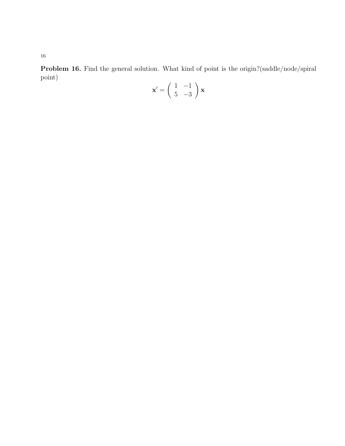Problem 16. Find the general solution. What kind of point is the origin?(saddle/node/spiral point)

$$
\mathbf{x}' = \begin{pmatrix} 1 & -1 \\ 5 & -3 \end{pmatrix} \mathbf{x}
$$

16